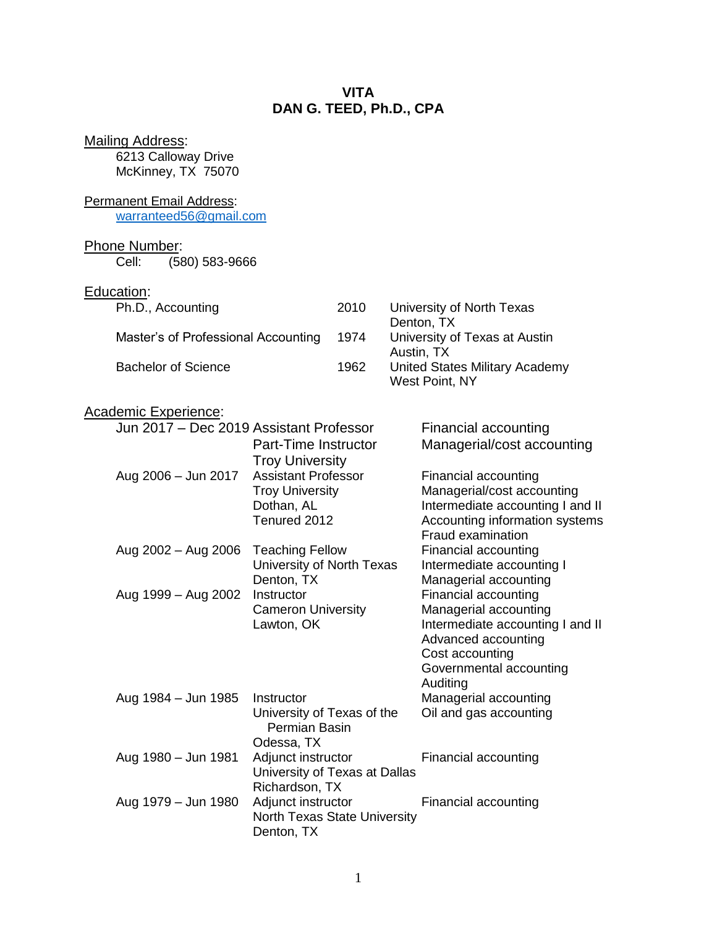# **VITA DAN G. TEED, Ph.D., CPA**

| <b>Mailing Address:</b><br>6213 Calloway Drive<br>McKinney, TX 75070                                                                        |                                                                                                                                                                                                                                                                    |      |                                                                                                                                                                                                                                                                                                                                                                                                                                                         |  |
|---------------------------------------------------------------------------------------------------------------------------------------------|--------------------------------------------------------------------------------------------------------------------------------------------------------------------------------------------------------------------------------------------------------------------|------|---------------------------------------------------------------------------------------------------------------------------------------------------------------------------------------------------------------------------------------------------------------------------------------------------------------------------------------------------------------------------------------------------------------------------------------------------------|--|
| <b>Permanent Email Address:</b><br>warranteed56@gmail.com                                                                                   |                                                                                                                                                                                                                                                                    |      |                                                                                                                                                                                                                                                                                                                                                                                                                                                         |  |
| <b>Phone Number:</b><br>(580) 583-9666<br>Cell:                                                                                             |                                                                                                                                                                                                                                                                    |      |                                                                                                                                                                                                                                                                                                                                                                                                                                                         |  |
| Education:<br>Ph.D., Accounting                                                                                                             |                                                                                                                                                                                                                                                                    | 2010 | University of North Texas                                                                                                                                                                                                                                                                                                                                                                                                                               |  |
| Master's of Professional Accounting                                                                                                         |                                                                                                                                                                                                                                                                    |      | Denton, TX<br>University of Texas at Austin                                                                                                                                                                                                                                                                                                                                                                                                             |  |
| <b>Bachelor of Science</b>                                                                                                                  |                                                                                                                                                                                                                                                                    |      | Austin, TX<br><b>United States Military Academy</b><br>West Point, NY                                                                                                                                                                                                                                                                                                                                                                                   |  |
| <b>Academic Experience:</b><br>Jun 2017 - Dec 2019 Assistant Professor<br>Aug 2006 - Jun 2017<br>Aug 2002 - Aug 2006<br>Aug 1999 - Aug 2002 | Part-Time Instructor<br><b>Troy University</b><br><b>Assistant Professor</b><br><b>Troy University</b><br>Dothan, AL<br>Tenured 2012<br><b>Teaching Fellow</b><br>University of North Texas<br>Denton, TX<br>Instructor<br><b>Cameron University</b><br>Lawton, OK |      | Financial accounting<br>Managerial/cost accounting<br>Financial accounting<br>Managerial/cost accounting<br>Intermediate accounting I and II<br>Accounting information systems<br>Fraud examination<br>Financial accounting<br>Intermediate accounting I<br>Managerial accounting<br>Financial accounting<br>Managerial accounting<br>Intermediate accounting I and II<br>Advanced accounting<br>Cost accounting<br>Governmental accounting<br>Auditing |  |
| Aug 1984 - Jun 1985                                                                                                                         | Instructor<br>University of Texas of the<br>Permian Basin<br>Odessa, TX                                                                                                                                                                                            |      | Managerial accounting<br>Oil and gas accounting                                                                                                                                                                                                                                                                                                                                                                                                         |  |
| Aug 1980 - Jun 1981                                                                                                                         | Adjunct instructor<br>University of Texas at Dallas<br>Richardson, TX                                                                                                                                                                                              |      | Financial accounting                                                                                                                                                                                                                                                                                                                                                                                                                                    |  |
| Aug 1979 - Jun 1980                                                                                                                         | Adjunct instructor<br>North Texas State University<br>Denton, TX                                                                                                                                                                                                   |      | Financial accounting                                                                                                                                                                                                                                                                                                                                                                                                                                    |  |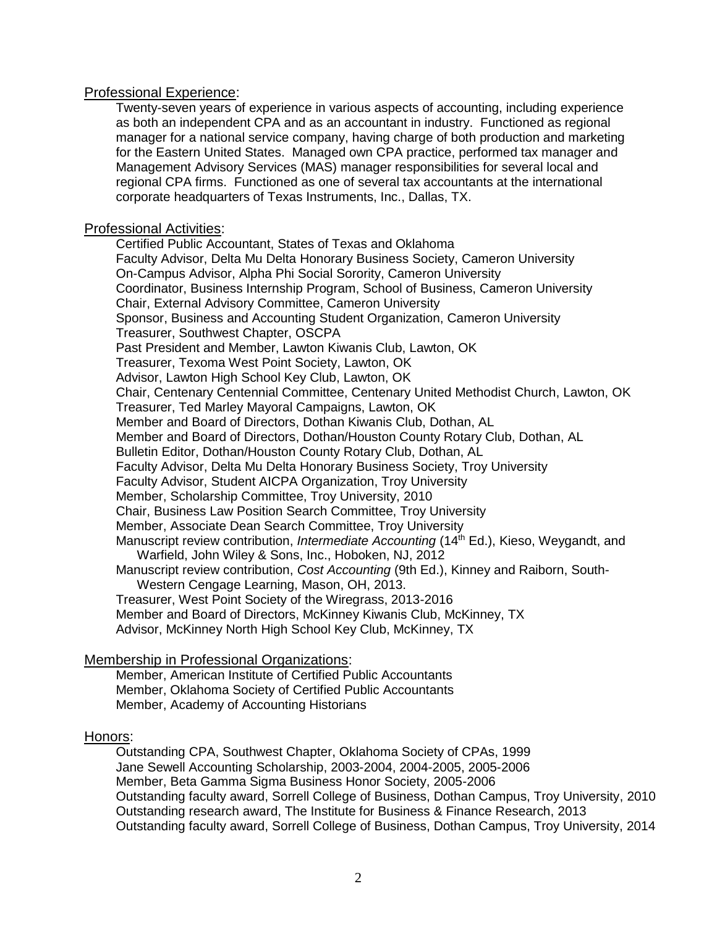## Professional Experience:

Twenty-seven years of experience in various aspects of accounting, including experience as both an independent CPA and as an accountant in industry. Functioned as regional manager for a national service company, having charge of both production and marketing for the Eastern United States. Managed own CPA practice, performed tax manager and Management Advisory Services (MAS) manager responsibilities for several local and regional CPA firms. Functioned as one of several tax accountants at the international corporate headquarters of Texas Instruments, Inc., Dallas, TX.

#### Professional Activities:

Certified Public Accountant, States of Texas and Oklahoma Faculty Advisor, Delta Mu Delta Honorary Business Society, Cameron University On-Campus Advisor, Alpha Phi Social Sorority, Cameron University Coordinator, Business Internship Program, School of Business, Cameron University Chair, External Advisory Committee, Cameron University Sponsor, Business and Accounting Student Organization, Cameron University Treasurer, Southwest Chapter, OSCPA Past President and Member, Lawton Kiwanis Club, Lawton, OK Treasurer, Texoma West Point Society, Lawton, OK Advisor, Lawton High School Key Club, Lawton, OK Chair, Centenary Centennial Committee, Centenary United Methodist Church, Lawton, OK Treasurer, Ted Marley Mayoral Campaigns, Lawton, OK Member and Board of Directors, Dothan Kiwanis Club, Dothan, AL Member and Board of Directors, Dothan/Houston County Rotary Club, Dothan, AL Bulletin Editor, Dothan/Houston County Rotary Club, Dothan, AL Faculty Advisor, Delta Mu Delta Honorary Business Society, Troy University Faculty Advisor, Student AICPA Organization, Troy University Member, Scholarship Committee, Troy University, 2010 Chair, Business Law Position Search Committee, Troy University Member, Associate Dean Search Committee, Troy University Manuscript review contribution, *Intermediate Accounting* (14<sup>th</sup> Ed.), Kieso, Weygandt, and Warfield, John Wiley & Sons, Inc., Hoboken, NJ, 2012 Manuscript review contribution, *Cost Accounting* (9th Ed.), Kinney and Raiborn, South-Western Cengage Learning, Mason, OH, 2013. Treasurer, West Point Society of the Wiregrass, 2013-2016 Member and Board of Directors, McKinney Kiwanis Club, McKinney, TX Advisor, McKinney North High School Key Club, McKinney, TX

# Membership in Professional Organizations:

Member, American Institute of Certified Public Accountants Member, Oklahoma Society of Certified Public Accountants Member, Academy of Accounting Historians

# Honors:

Outstanding CPA, Southwest Chapter, Oklahoma Society of CPAs, 1999 Jane Sewell Accounting Scholarship, 2003-2004, 2004-2005, 2005-2006 Member, Beta Gamma Sigma Business Honor Society, 2005-2006 Outstanding faculty award, Sorrell College of Business, Dothan Campus, Troy University, 2010 Outstanding research award, The Institute for Business & Finance Research, 2013 Outstanding faculty award, Sorrell College of Business, Dothan Campus, Troy University, 2014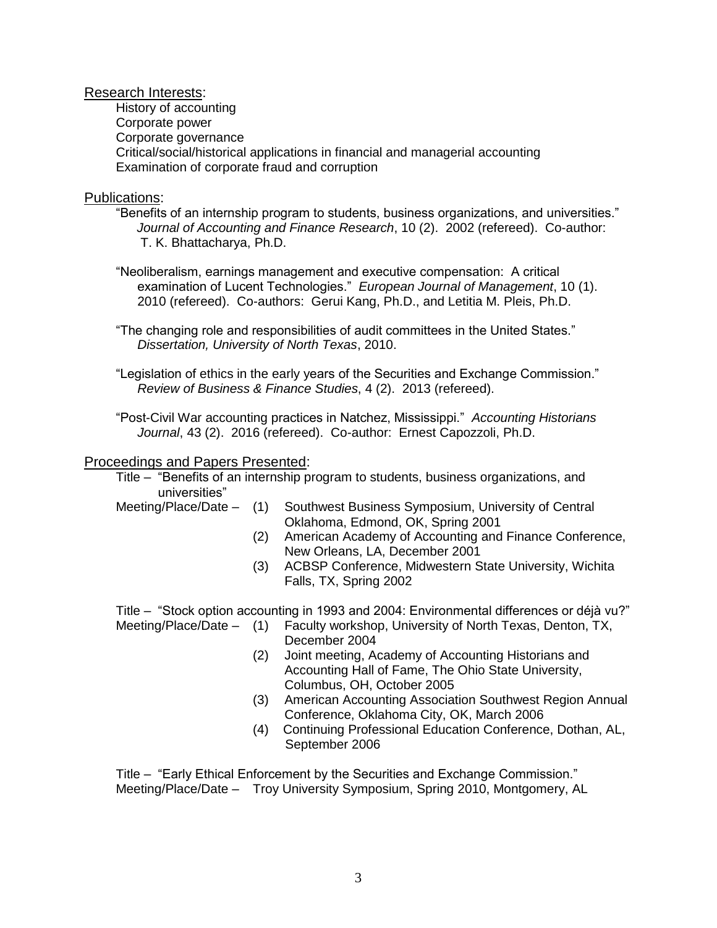Research Interests:

History of accounting Corporate power Corporate governance Critical/social/historical applications in financial and managerial accounting Examination of corporate fraud and corruption

## Publications:

- "Benefits of an internship program to students, business organizations, and universities." *Journal of Accounting and Finance Research*, 10 (2). 2002 (refereed). Co-author: T. K. Bhattacharya, Ph.D.
- "Neoliberalism, earnings management and executive compensation: A critical examination of Lucent Technologies." *European Journal of Management*, 10 (1). 2010 (refereed). Co-authors: Gerui Kang, Ph.D., and Letitia M. Pleis, Ph.D.
- "The changing role and responsibilities of audit committees in the United States." *Dissertation, University of North Texas*, 2010.

"Legislation of ethics in the early years of the Securities and Exchange Commission." *Review of Business & Finance Studies*, 4 (2). 2013 (refereed).

"Post-Civil War accounting practices in Natchez, Mississippi." *Accounting Historians Journal*, 43 (2). 2016 (refereed). Co-author: Ernest Capozzoli, Ph.D.

## Proceedings and Papers Presented:

Title – "Benefits of an internship program to students, business organizations, and universities"

- Meeting/Place/Date (1) Southwest Business Symposium, University of Central Oklahoma, Edmond, OK, Spring 2001
	- (2) American Academy of Accounting and Finance Conference, New Orleans, LA, December 2001
	- (3) ACBSP Conference, Midwestern State University, Wichita Falls, TX, Spring 2002

Title – "Stock option accounting in 1993 and 2004: Environmental differences or déjà vu?" Meeting/Place/Date – (1) Faculty workshop, University of North Texas, Denton, TX,

- December 2004
	- (2) Joint meeting, Academy of Accounting Historians and Accounting Hall of Fame, The Ohio State University, Columbus, OH, October 2005
	- (3) American Accounting Association Southwest Region Annual Conference, Oklahoma City, OK, March 2006
	- (4) Continuing Professional Education Conference, Dothan, AL, September 2006

Title – "Early Ethical Enforcement by the Securities and Exchange Commission." Meeting/Place/Date – Troy University Symposium, Spring 2010, Montgomery, AL